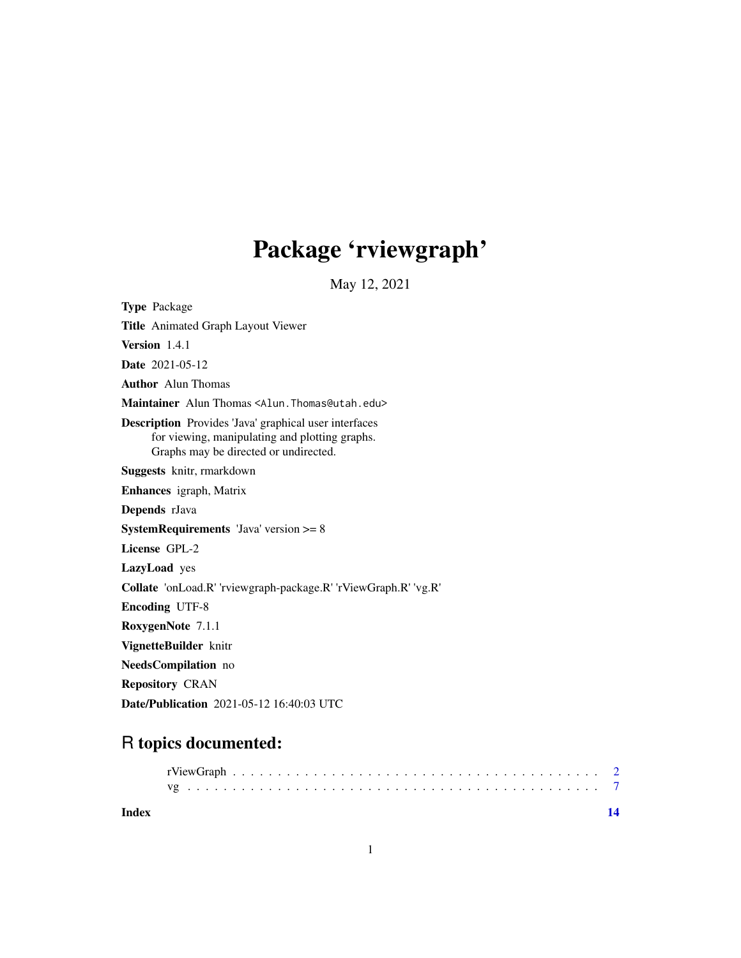## Package 'rviewgraph'

May 12, 2021

Type Package Title Animated Graph Layout Viewer Version 1.4.1 Date 2021-05-12 Author Alun Thomas Maintainer Alun Thomas <Alun.Thomas@utah.edu> Description Provides 'Java' graphical user interfaces for viewing, manipulating and plotting graphs. Graphs may be directed or undirected. Suggests knitr, rmarkdown Enhances igraph, Matrix Depends rJava SystemRequirements 'Java' version >= 8 License GPL-2 LazyLoad yes Collate 'onLoad.R' 'rviewgraph-package.R' 'rViewGraph.R' 'vg.R' Encoding UTF-8 RoxygenNote 7.1.1 VignetteBuilder knitr NeedsCompilation no Repository CRAN Date/Publication 2021-05-12 16:40:03 UTC

### R topics documented:

**Index** 2008 **[14](#page-13-0)**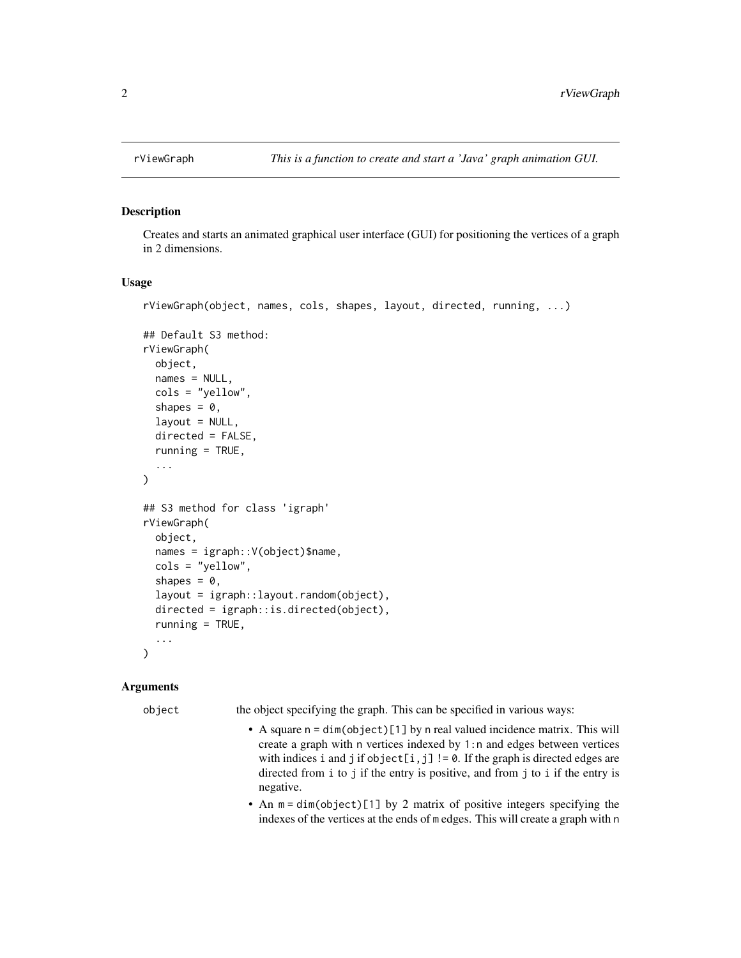<span id="page-1-0"></span>

#### Description

Creates and starts an animated graphical user interface (GUI) for positioning the vertices of a graph in 2 dimensions.

#### Usage

```
rViewGraph(object, names, cols, shapes, layout, directed, running, ...)
```

```
## Default S3 method:
rViewGraph(
  object,
 names = NULL,
  cols = "yellow",
  shapes = 0,
  layout = NULL,
  directed = FALSE,
  running = TRUE,
  ...
)
## S3 method for class 'igraph'
rViewGraph(
 object,
  names = igraph::V(object)$name,
  cols = "yellow",
  shapes = 0,
  layout = igraph::layout.random(object),
  directed = igraph::is.directed(object),
  running = TRUE,...
)
```
#### Arguments

object the object specifying the graph. This can be specified in various ways:

- A square  $n = dim(objject)[1]$  by n real valued incidence matrix. This will create a graph with n vertices indexed by 1:n and edges between vertices with indices i and j if object[i,j] !=  $0$ . If the graph is directed edges are directed from i to j if the entry is positive, and from j to i if the entry is negative.
- An  $m = dim(object)[1]$  by 2 matrix of positive integers specifying the indexes of the vertices at the ends of m edges. This will create a graph with n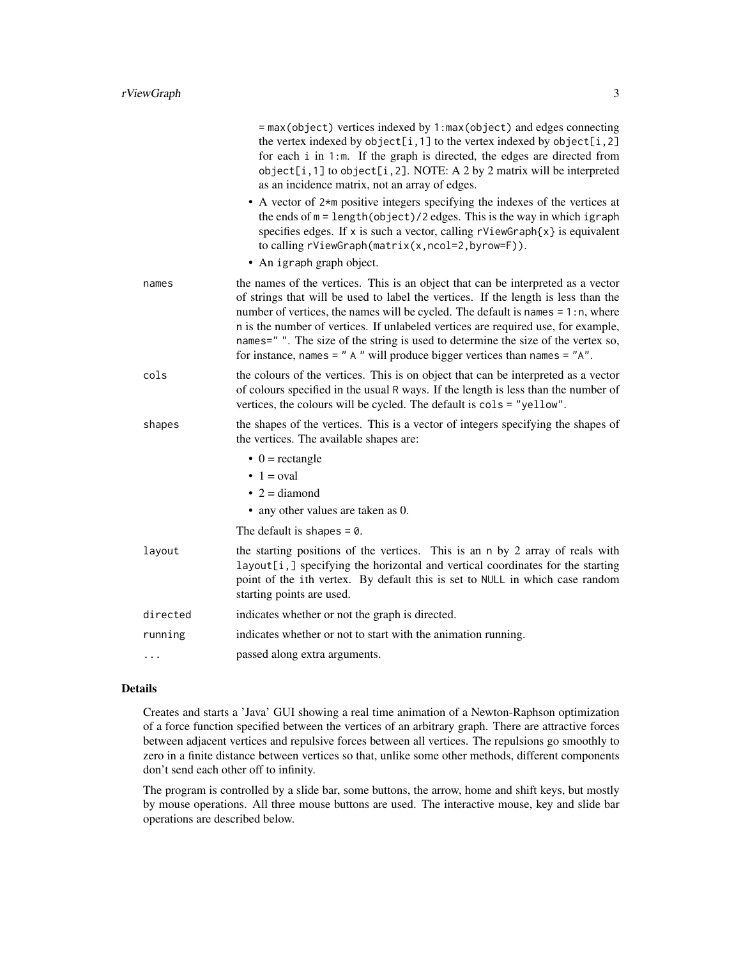|          | = max(object) vertices indexed by 1:max(object) and edges connecting<br>the vertex indexed by object[i,1] to the vertex indexed by object[i,2]<br>for each i in 1:m. If the graph is directed, the edges are directed from<br>object[i,1] to object[i,2]. NOTE: A 2 by 2 matrix will be interpreted<br>as an incidence matrix, not an array of edges.                                                                                                                                                                      |
|----------|----------------------------------------------------------------------------------------------------------------------------------------------------------------------------------------------------------------------------------------------------------------------------------------------------------------------------------------------------------------------------------------------------------------------------------------------------------------------------------------------------------------------------|
|          | • A vector of 2*m positive integers specifying the indexes of the vertices at<br>the ends of $m = length(object)/2 edges$ . This is the way in which igraph<br>specifies edges. If x is such a vector, calling $rViewGraph\{x\}$ is equivalent<br>to calling rViewGraph(matrix(x,ncol=2,byrow=F)).                                                                                                                                                                                                                         |
|          | • An igraph graph object.                                                                                                                                                                                                                                                                                                                                                                                                                                                                                                  |
| names    | the names of the vertices. This is an object that can be interpreted as a vector<br>of strings that will be used to label the vertices. If the length is less than the<br>number of vertices, the names will be cycled. The default is names $= 1:n$ , where<br>n is the number of vertices. If unlabeled vertices are required use, for example,<br>names="". The size of the string is used to determine the size of the vertex so,<br>for instance, names = $"$ A $"$ will produce bigger vertices than names = $"A"$ . |
| cols     | the colours of the vertices. This is on object that can be interpreted as a vector<br>of colours specified in the usual R ways. If the length is less than the number of<br>vertices, the colours will be cycled. The default is cols = "yellow".                                                                                                                                                                                                                                                                          |
| shapes   | the shapes of the vertices. This is a vector of integers specifying the shapes of<br>the vertices. The available shapes are:                                                                                                                                                                                                                                                                                                                                                                                               |
|          | $\bullet$ 0 = rectangle                                                                                                                                                                                                                                                                                                                                                                                                                                                                                                    |
|          | $\bullet$ 1 = oval                                                                                                                                                                                                                                                                                                                                                                                                                                                                                                         |
|          | $\bullet$ 2 = diamond                                                                                                                                                                                                                                                                                                                                                                                                                                                                                                      |
|          | • any other values are taken as 0.                                                                                                                                                                                                                                                                                                                                                                                                                                                                                         |
|          | The default is shapes $= 0$ .                                                                                                                                                                                                                                                                                                                                                                                                                                                                                              |
| layout   | the starting positions of the vertices. This is an n by 2 array of reals with<br>layout[i,] specifying the horizontal and vertical coordinates for the starting<br>point of the ith vertex. By default this is set to NULL in which case random<br>starting points are used.                                                                                                                                                                                                                                               |
| directed | indicates whether or not the graph is directed.                                                                                                                                                                                                                                                                                                                                                                                                                                                                            |
| running  | indicates whether or not to start with the animation running.                                                                                                                                                                                                                                                                                                                                                                                                                                                              |
|          | passed along extra arguments.                                                                                                                                                                                                                                                                                                                                                                                                                                                                                              |

#### Details

Creates and starts a 'Java' GUI showing a real time animation of a Newton-Raphson optimization of a force function specified between the vertices of an arbitrary graph. There are attractive forces between adjacent vertices and repulsive forces between all vertices. The repulsions go smoothly to zero in a finite distance between vertices so that, unlike some other methods, different components don't send each other off to infinity.

The program is controlled by a slide bar, some buttons, the arrow, home and shift keys, but mostly by mouse operations. All three mouse buttons are used. The interactive mouse, key and slide bar operations are described below.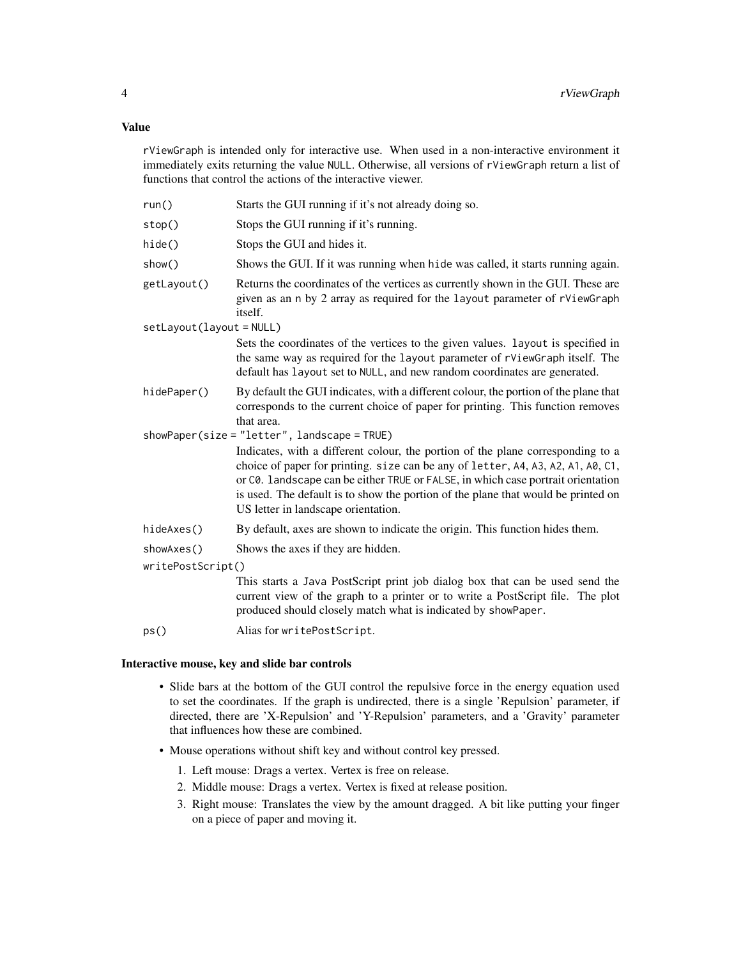#### Value

rViewGraph is intended only for interactive use. When used in a non-interactive environment it immediately exits returning the value NULL. Otherwise, all versions of rViewGraph return a list of functions that control the actions of the interactive viewer.

| run()                  | Starts the GUI running if it's not already doing so.                                                                                                                                                                                                                                                                                                                                |  |
|------------------------|-------------------------------------------------------------------------------------------------------------------------------------------------------------------------------------------------------------------------------------------------------------------------------------------------------------------------------------------------------------------------------------|--|
| stop()                 | Stops the GUI running if it's running.                                                                                                                                                                                                                                                                                                                                              |  |
| hide()                 | Stops the GUI and hides it.                                                                                                                                                                                                                                                                                                                                                         |  |
| show()                 | Shows the GUI. If it was running when hide was called, it starts running again.                                                                                                                                                                                                                                                                                                     |  |
| getLayout()            | Returns the coordinates of the vertices as currently shown in the GUI. These are<br>given as an n by 2 array as required for the layout parameter of rViewGraph<br><i>itself.</i>                                                                                                                                                                                                   |  |
| setLayout(layout=NULL) |                                                                                                                                                                                                                                                                                                                                                                                     |  |
|                        | Sets the coordinates of the vertices to the given values. Layout is specified in<br>the same way as required for the layout parameter of rViewGraph itself. The<br>default has layout set to NULL, and new random coordinates are generated.                                                                                                                                        |  |
| hidePaper()            | By default the GUI indicates, with a different colour, the portion of the plane that<br>corresponds to the current choice of paper for printing. This function removes<br>that area.                                                                                                                                                                                                |  |
|                        | showPaper(size = "letter", landscape = TRUE)                                                                                                                                                                                                                                                                                                                                        |  |
|                        | Indicates, with a different colour, the portion of the plane corresponding to a<br>choice of paper for printing. size can be any of letter, A4, A3, A2, A1, A0, C1,<br>or C0. landscape can be either TRUE or FALSE, in which case portrait orientation<br>is used. The default is to show the portion of the plane that would be printed on<br>US letter in landscape orientation. |  |
| hideAxes()             | By default, axes are shown to indicate the origin. This function hides them.                                                                                                                                                                                                                                                                                                        |  |
| showAxes()             | Shows the axes if they are hidden.                                                                                                                                                                                                                                                                                                                                                  |  |
| writePostScript()      |                                                                                                                                                                                                                                                                                                                                                                                     |  |
|                        | This starts a Java PostScript print job dialog box that can be used send the<br>current view of the graph to a printer or to write a PostScript file. The plot<br>produced should closely match what is indicated by showPaper.                                                                                                                                                     |  |
| ps()                   | Alias for writePostScript.                                                                                                                                                                                                                                                                                                                                                          |  |

#### Interactive mouse, key and slide bar controls

- Slide bars at the bottom of the GUI control the repulsive force in the energy equation used to set the coordinates. If the graph is undirected, there is a single 'Repulsion' parameter, if directed, there are 'X-Repulsion' and 'Y-Repulsion' parameters, and a 'Gravity' parameter that influences how these are combined.
- Mouse operations without shift key and without control key pressed.
	- 1. Left mouse: Drags a vertex. Vertex is free on release.
	- 2. Middle mouse: Drags a vertex. Vertex is fixed at release position.
	- 3. Right mouse: Translates the view by the amount dragged. A bit like putting your finger on a piece of paper and moving it.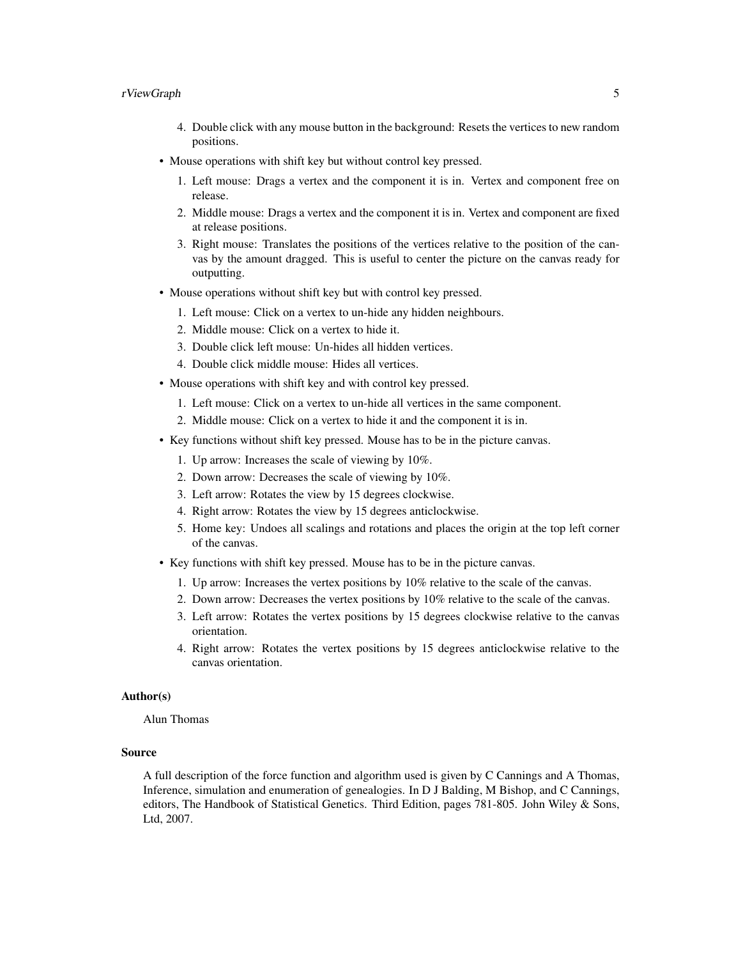#### rViewGraph 5

- 4. Double click with any mouse button in the background: Resets the vertices to new random positions.
- Mouse operations with shift key but without control key pressed.
	- 1. Left mouse: Drags a vertex and the component it is in. Vertex and component free on release.
	- 2. Middle mouse: Drags a vertex and the component it is in. Vertex and component are fixed at release positions.
	- 3. Right mouse: Translates the positions of the vertices relative to the position of the canvas by the amount dragged. This is useful to center the picture on the canvas ready for outputting.
- Mouse operations without shift key but with control key pressed.
	- 1. Left mouse: Click on a vertex to un-hide any hidden neighbours.
	- 2. Middle mouse: Click on a vertex to hide it.
	- 3. Double click left mouse: Un-hides all hidden vertices.
	- 4. Double click middle mouse: Hides all vertices.
- Mouse operations with shift key and with control key pressed.
	- 1. Left mouse: Click on a vertex to un-hide all vertices in the same component.
	- 2. Middle mouse: Click on a vertex to hide it and the component it is in.
- Key functions without shift key pressed. Mouse has to be in the picture canvas.
	- 1. Up arrow: Increases the scale of viewing by 10%.
	- 2. Down arrow: Decreases the scale of viewing by 10%.
	- 3. Left arrow: Rotates the view by 15 degrees clockwise.
	- 4. Right arrow: Rotates the view by 15 degrees anticlockwise.
	- 5. Home key: Undoes all scalings and rotations and places the origin at the top left corner of the canvas.
- Key functions with shift key pressed. Mouse has to be in the picture canvas.
	- 1. Up arrow: Increases the vertex positions by 10% relative to the scale of the canvas.
	- 2. Down arrow: Decreases the vertex positions by 10% relative to the scale of the canvas.
	- 3. Left arrow: Rotates the vertex positions by 15 degrees clockwise relative to the canvas orientation.
	- 4. Right arrow: Rotates the vertex positions by 15 degrees anticlockwise relative to the canvas orientation.

#### Author(s)

Alun Thomas

#### Source

A full description of the force function and algorithm used is given by C Cannings and A Thomas, Inference, simulation and enumeration of genealogies. In D J Balding, M Bishop, and C Cannings, editors, The Handbook of Statistical Genetics. Third Edition, pages 781-805. John Wiley & Sons, Ltd, 2007.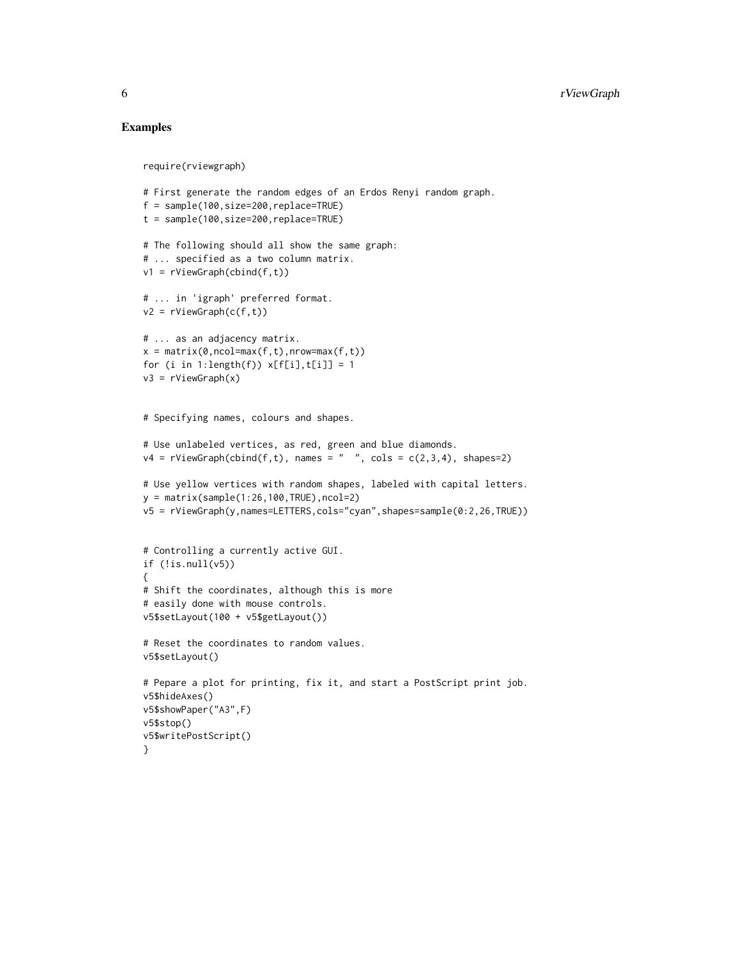#### Examples

```
require(rviewgraph)
# First generate the random edges of an Erdos Renyi random graph.
f = sample(100,size=200,replace=TRUE)
t = sample(100,size=200,replace=TRUE)
# The following should all show the same graph:
# ... specified as a two column matrix.
v1 = rViewGraph(cbind(f,t))
# ... in 'igraph' preferred format.
v2 = rViewGraph(c(f,t))
# ... as an adjacency matrix.
x = matrix(0, ncol=max(f, t), nrow=max(f, t))for (i in 1:length(f)) x[f[i], t[i]] = 1v3 = rViewGraph(x)
# Specifying names, colours and shapes.
# Use unlabeled vertices, as red, green and blue diamonds.
v4 = rViewGraph(cbind(f, t), names = " " , cols = c(2, 3, 4), shapes=2)# Use yellow vertices with random shapes, labeled with capital letters.
y = matrix(sample(1:26,100,TRUE), ncol=2)v5 = rViewGraph(y,names=LETTERS,cols="cyan",shapes=sample(0:2,26,TRUE))
# Controlling a currently active GUI.
if (!is.null(v5)){
# Shift the coordinates, although this is more
# easily done with mouse controls.
v5$setLayout(100 + v5$getLayout())
# Reset the coordinates to random values.
v5$setLayout()
# Pepare a plot for printing, fix it, and start a PostScript print job.
v5$hideAxes()
v5$showPaper("A3",F)
v5$stop()
v5$writePostScript()
}
```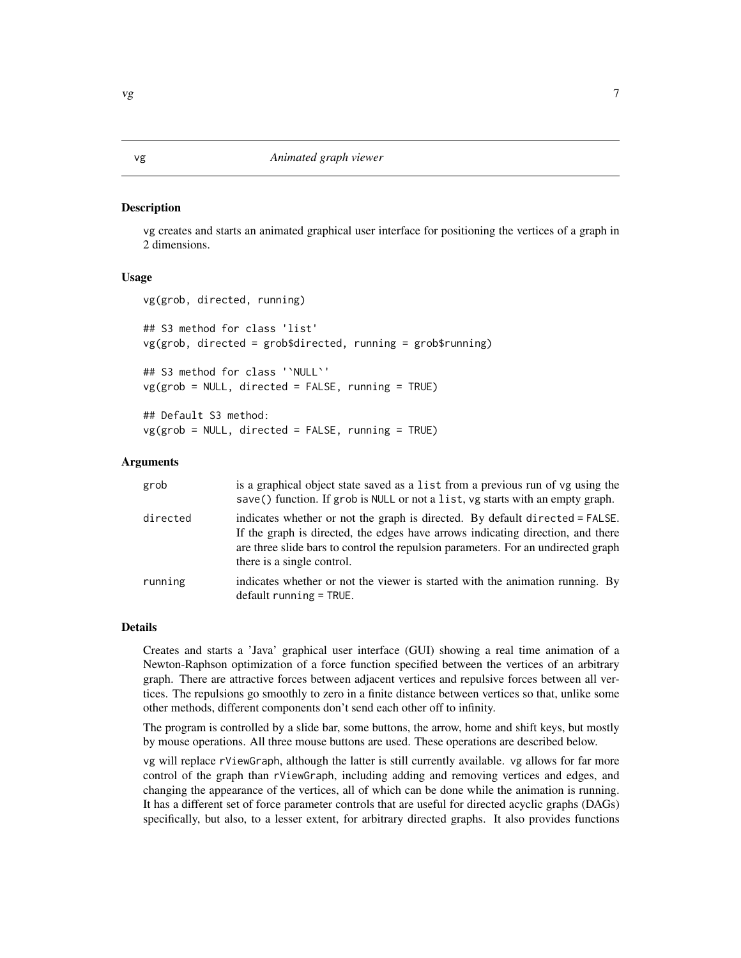#### <span id="page-6-0"></span>Description

vg creates and starts an animated graphical user interface for positioning the vertices of a graph in 2 dimensions.

#### Usage

```
vg(grob, directed, running)
```
## S3 method for class 'list' vg(grob, directed = grob\$directed, running = grob\$running)

## S3 method for class '`NULL`'  $vg(grob = NULL, directed = FALSE, running = TRUE)$ 

## Default S3 method:  $vg(grob = NULL, directed = FALSE, running = TRUE)$ 

#### Arguments

| grob     | is a graphical object state saved as a list from a previous run of vg using the<br>save() function. If grob is NULL or not a list, vg starts with an empty graph.                                                                                                                  |
|----------|------------------------------------------------------------------------------------------------------------------------------------------------------------------------------------------------------------------------------------------------------------------------------------|
| directed | indicates whether or not the graph is directed. By default directed = FALSE.<br>If the graph is directed, the edges have arrows indicating direction, and there<br>are three slide bars to control the repulsion parameters. For an undirected graph<br>there is a single control. |
| running  | indicates whether or not the viewer is started with the animation running. By<br>$default running = TRUE.$                                                                                                                                                                         |

#### Details

Creates and starts a 'Java' graphical user interface (GUI) showing a real time animation of a Newton-Raphson optimization of a force function specified between the vertices of an arbitrary graph. There are attractive forces between adjacent vertices and repulsive forces between all vertices. The repulsions go smoothly to zero in a finite distance between vertices so that, unlike some other methods, different components don't send each other off to infinity.

The program is controlled by a slide bar, some buttons, the arrow, home and shift keys, but mostly by mouse operations. All three mouse buttons are used. These operations are described below.

vg will replace rViewGraph, although the latter is still currently available. vg allows for far more control of the graph than rViewGraph, including adding and removing vertices and edges, and changing the appearance of the vertices, all of which can be done while the animation is running. It has a different set of force parameter controls that are useful for directed acyclic graphs (DAGs) specifically, but also, to a lesser extent, for arbitrary directed graphs. It also provides functions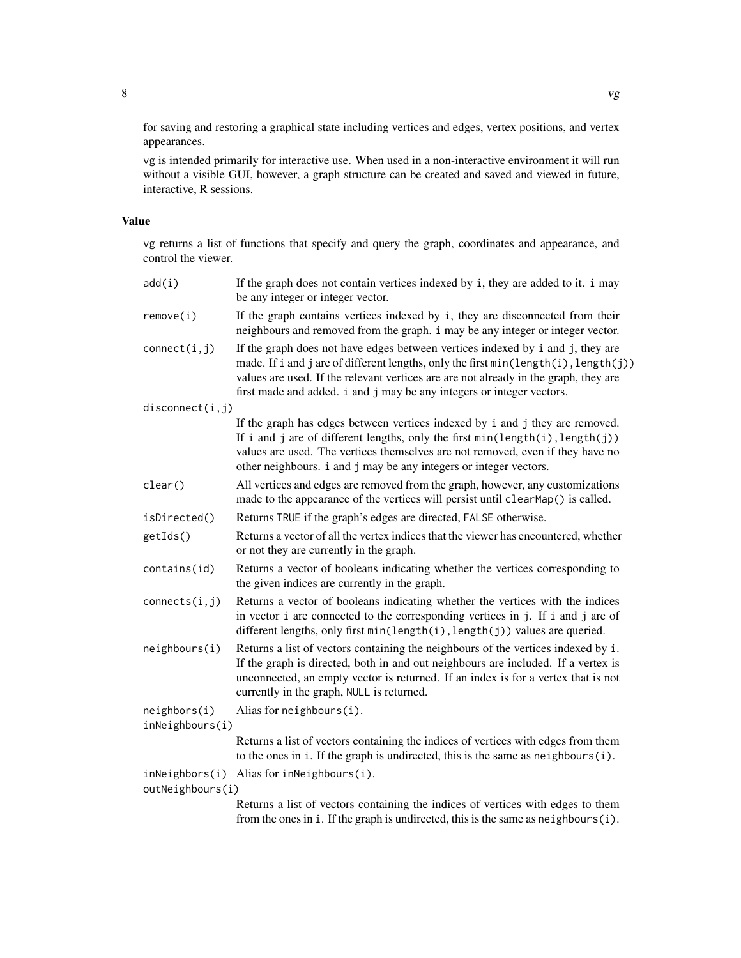for saving and restoring a graphical state including vertices and edges, vertex positions, and vertex appearances.

vg is intended primarily for interactive use. When used in a non-interactive environment it will run without a visible GUI, however, a graph structure can be created and saved and viewed in future, interactive, R sessions.

#### Value

vg returns a list of functions that specify and query the graph, coordinates and appearance, and control the viewer.

| add(i)                          | If the graph does not contain vertices indexed by i, they are added to it. i may<br>be any integer or integer vector.                                                                                                                                                                                                                  |
|---------------------------------|----------------------------------------------------------------------------------------------------------------------------------------------------------------------------------------------------------------------------------------------------------------------------------------------------------------------------------------|
| remove(i)                       | If the graph contains vertices indexed by i, they are disconnected from their<br>neighbours and removed from the graph. i may be any integer or integer vector.                                                                                                                                                                        |
| connect(i, j)                   | If the graph does not have edges between vertices indexed by i and j, they are<br>made. If i and j are of different lengths, only the first min(length(i), length(j))<br>values are used. If the relevant vertices are are not already in the graph, they are<br>first made and added. i and j may be any integers or integer vectors. |
| disconnect(i, j)                |                                                                                                                                                                                                                                                                                                                                        |
|                                 | If the graph has edges between vertices indexed by i and j they are removed.<br>If i and j are of different lengths, only the first min(length(i), length(j))<br>values are used. The vertices themselves are not removed, even if they have no<br>other neighbours. i and j may be any integers or integer vectors.                   |
| clear()                         | All vertices and edges are removed from the graph, however, any customizations<br>made to the appearance of the vertices will persist until clearMap() is called.                                                                                                                                                                      |
| isDirected()                    | Returns TRUE if the graph's edges are directed, FALSE otherwise.                                                                                                                                                                                                                                                                       |
| getIds()                        | Returns a vector of all the vertex indices that the viewer has encountered, whether<br>or not they are currently in the graph.                                                                                                                                                                                                         |
| contains(id)                    | Returns a vector of booleans indicating whether the vertices corresponding to<br>the given indices are currently in the graph.                                                                                                                                                                                                         |
| connects(i,j)                   | Returns a vector of booleans indicating whether the vertices with the indices<br>in vector i are connected to the corresponding vertices in j. If i and j are of<br>different lengths, only first $min(length(i), length(j))$ values are queried.                                                                                      |
| neighbours(i)                   | Returns a list of vectors containing the neighbours of the vertices indexed by i.<br>If the graph is directed, both in and out neighbours are included. If a vertex is<br>unconnected, an empty vector is returned. If an index is for a vertex that is not<br>currently in the graph, NULL is returned.                               |
| neighbors(i)<br>inNeighbours(i) | Alias for neighbours(i).                                                                                                                                                                                                                                                                                                               |
|                                 | Returns a list of vectors containing the indices of vertices with edges from them<br>to the ones in $i$ . If the graph is undirected, this is the same as $neighbours(i)$ .                                                                                                                                                            |
| inNeighbors(i)                  | Alias for inNeighbours(i).                                                                                                                                                                                                                                                                                                             |
| outNeighbours(i)                |                                                                                                                                                                                                                                                                                                                                        |
|                                 | Returns a list of vectors containing the indices of vertices with edges to them<br>from the ones in i. If the graph is undirected, this is the same as neighbours(i).                                                                                                                                                                  |
|                                 |                                                                                                                                                                                                                                                                                                                                        |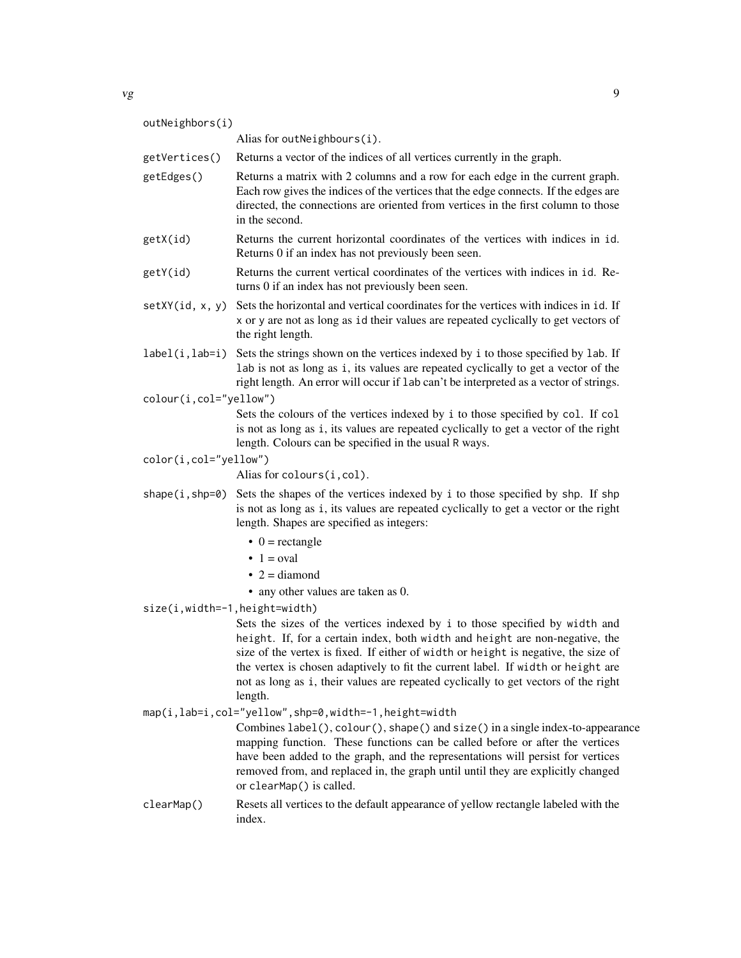| ۰ | I<br>--<br>۰. |  |
|---|---------------|--|
|   | ×<br>v        |  |

|                        | 9                                                                                                                                                                                                                                                                                                                                                                                                                                      |
|------------------------|----------------------------------------------------------------------------------------------------------------------------------------------------------------------------------------------------------------------------------------------------------------------------------------------------------------------------------------------------------------------------------------------------------------------------------------|
|                        |                                                                                                                                                                                                                                                                                                                                                                                                                                        |
|                        | Alias for outNeighbours(i).                                                                                                                                                                                                                                                                                                                                                                                                            |
| getVertices()          | Returns a vector of the indices of all vertices currently in the graph.                                                                                                                                                                                                                                                                                                                                                                |
| getEdges()             | Returns a matrix with 2 columns and a row for each edge in the current graph.<br>Each row gives the indices of the vertices that the edge connects. If the edges are<br>directed, the connections are oriented from vertices in the first column to those<br>in the second.                                                                                                                                                            |
| getX(id)               | Returns the current horizontal coordinates of the vertices with indices in id.<br>Returns 0 if an index has not previously been seen.                                                                                                                                                                                                                                                                                                  |
| getY(id)               | Returns the current vertical coordinates of the vertices with indices in id. Re-<br>turns 0 if an index has not previously been seen.                                                                                                                                                                                                                                                                                                  |
| setXY(id, x, y)        | Sets the horizontal and vertical coordinates for the vertices with indices in i.d. If<br>x or y are not as long as id their values are repeated cyclically to get vectors of<br>the right length.                                                                                                                                                                                                                                      |
|                        | label(i, lab=i) Sets the strings shown on the vertices indexed by i to those specified by lab. If<br>lab is not as long as i, its values are repeated cyclically to get a vector of the<br>right length. An error will occur if 1ab can't be interpreted as a vector of strings.                                                                                                                                                       |
| colour(i,col="yellow") |                                                                                                                                                                                                                                                                                                                                                                                                                                        |
|                        | Sets the colours of the vertices indexed by i to those specified by col. If col<br>is not as long as i, its values are repeated cyclically to get a vector of the right<br>length. Colours can be specified in the usual R ways.                                                                                                                                                                                                       |
| color(i,col="yellow")  |                                                                                                                                                                                                                                                                                                                                                                                                                                        |
|                        | Alias for colours(i, col).                                                                                                                                                                                                                                                                                                                                                                                                             |
|                        | shape (i, shp=0) Sets the shapes of the vertices indexed by i to those specified by shp. If shp<br>is not as long as i, its values are repeated cyclically to get a vector or the right<br>length. Shapes are specified as integers:                                                                                                                                                                                                   |
|                        | $\bullet$ 0 = rectangle                                                                                                                                                                                                                                                                                                                                                                                                                |
|                        | $\bullet$ 1 = oval                                                                                                                                                                                                                                                                                                                                                                                                                     |
|                        | $\bullet$ 2 = diamond                                                                                                                                                                                                                                                                                                                                                                                                                  |
|                        | • any other values are taken as 0.                                                                                                                                                                                                                                                                                                                                                                                                     |
|                        | Sets the sizes of the vertices indexed by i to those specified by width and<br>height. If, for a certain index, both width and height are non-negative, the<br>size of the vertex is fixed. If either of width or height is negative, the size of<br>the vertex is chosen adaptively to fit the current label. If width or height are<br>not as long as i, their values are repeated cyclically to get vectors of the right<br>length. |
|                        | map(i,lab=i,col="yellow",shp=0,width=-1,height=width                                                                                                                                                                                                                                                                                                                                                                                   |
|                        | Combines label(), colour(), shape() and size() in a single index-to-appearance<br>mapping function. These functions can be called before or after the vertices<br>have been added to the graph, and the representations will persist for vertices<br>removed from, and replaced in, the graph until until they are explicitly changed<br>or clearMap() is called.                                                                      |
| clearMap()             | Resets all vertices to the default appearance of yellow rectangle labeled with the<br>index.                                                                                                                                                                                                                                                                                                                                           |
|                        | outNeighbors(i)<br>size(i,width=-1,height=width)                                                                                                                                                                                                                                                                                                                                                                                       |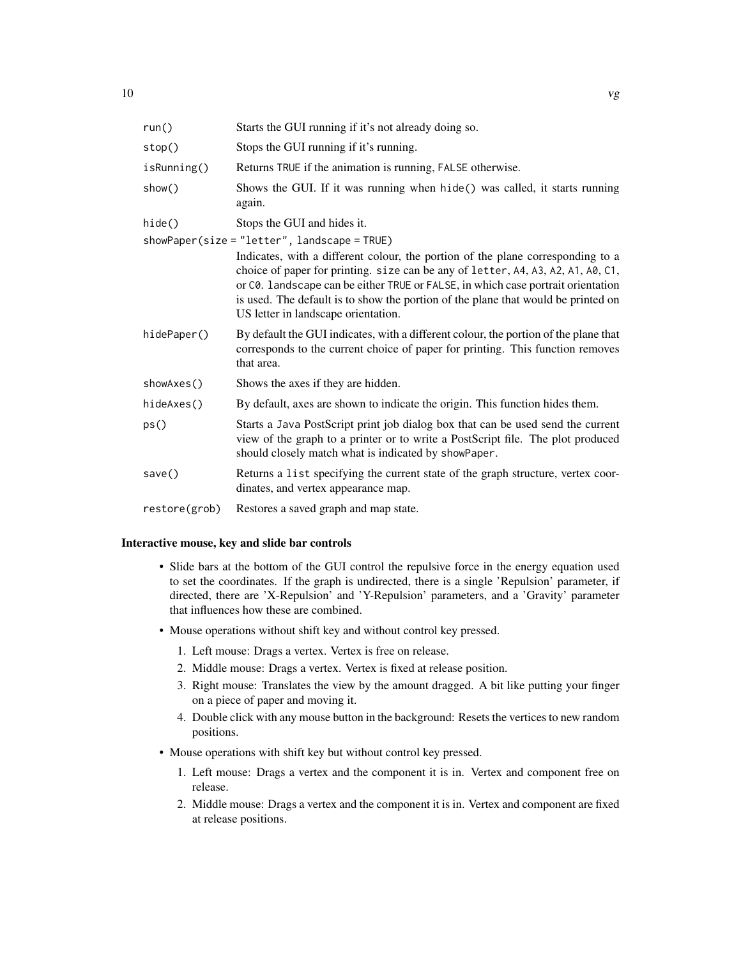| run()         | Starts the GUI running if it's not already doing so.                                                                                                                                                                                                                                                                                                                                                                                |
|---------------|-------------------------------------------------------------------------------------------------------------------------------------------------------------------------------------------------------------------------------------------------------------------------------------------------------------------------------------------------------------------------------------------------------------------------------------|
| stop()        | Stops the GUI running if it's running.                                                                                                                                                                                                                                                                                                                                                                                              |
| isRunning()   | Returns TRUE if the animation is running, FALSE otherwise.                                                                                                                                                                                                                                                                                                                                                                          |
| show()        | Shows the GUI. If it was running when hide() was called, it starts running<br>again.                                                                                                                                                                                                                                                                                                                                                |
| hide()        | Stops the GUI and hides it.                                                                                                                                                                                                                                                                                                                                                                                                         |
|               | showPaper(size = "letter", landscape = TRUE)<br>Indicates, with a different colour, the portion of the plane corresponding to a<br>choice of paper for printing. size can be any of letter, A4, A3, A2, A1, A0, C1,<br>or C0. landscape can be either TRUE or FALSE, in which case portrait orientation<br>is used. The default is to show the portion of the plane that would be printed on<br>US letter in landscape orientation. |
| hidePaper()   | By default the GUI indicates, with a different colour, the portion of the plane that<br>corresponds to the current choice of paper for printing. This function removes<br>that area.                                                                                                                                                                                                                                                |
| showAxes()    | Shows the axes if they are hidden.                                                                                                                                                                                                                                                                                                                                                                                                  |
| hideAxes()    | By default, axes are shown to indicate the origin. This function hides them.                                                                                                                                                                                                                                                                                                                                                        |
| ps()          | Starts a Java PostScript print job dialog box that can be used send the current<br>view of the graph to a printer or to write a PostScript file. The plot produced<br>should closely match what is indicated by showPaper.                                                                                                                                                                                                          |
| save()        | Returns a list specifying the current state of the graph structure, vertex coor-<br>dinates, and vertex appearance map.                                                                                                                                                                                                                                                                                                             |
| restore(grob) | Restores a saved graph and map state.                                                                                                                                                                                                                                                                                                                                                                                               |
|               |                                                                                                                                                                                                                                                                                                                                                                                                                                     |

#### Interactive mouse, key and slide bar controls

- Slide bars at the bottom of the GUI control the repulsive force in the energy equation used to set the coordinates. If the graph is undirected, there is a single 'Repulsion' parameter, if directed, there are 'X-Repulsion' and 'Y-Repulsion' parameters, and a 'Gravity' parameter that influences how these are combined.
- Mouse operations without shift key and without control key pressed.
	- 1. Left mouse: Drags a vertex. Vertex is free on release.
	- 2. Middle mouse: Drags a vertex. Vertex is fixed at release position.
	- 3. Right mouse: Translates the view by the amount dragged. A bit like putting your finger on a piece of paper and moving it.
	- 4. Double click with any mouse button in the background: Resets the vertices to new random positions.
- Mouse operations with shift key but without control key pressed.
	- 1. Left mouse: Drags a vertex and the component it is in. Vertex and component free on release.
	- 2. Middle mouse: Drags a vertex and the component it is in. Vertex and component are fixed at release positions.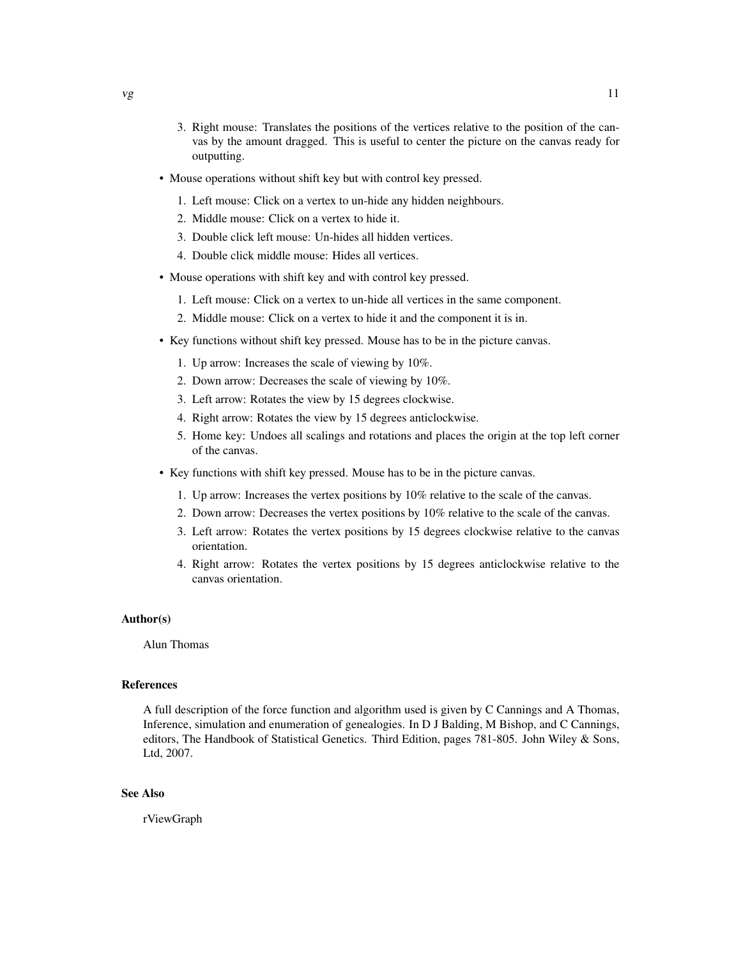- 3. Right mouse: Translates the positions of the vertices relative to the position of the canvas by the amount dragged. This is useful to center the picture on the canvas ready for outputting.
- Mouse operations without shift key but with control key pressed.
	- 1. Left mouse: Click on a vertex to un-hide any hidden neighbours.
	- 2. Middle mouse: Click on a vertex to hide it.
	- 3. Double click left mouse: Un-hides all hidden vertices.
	- 4. Double click middle mouse: Hides all vertices.
- Mouse operations with shift key and with control key pressed.
	- 1. Left mouse: Click on a vertex to un-hide all vertices in the same component.
	- 2. Middle mouse: Click on a vertex to hide it and the component it is in.
- Key functions without shift key pressed. Mouse has to be in the picture canvas.
	- 1. Up arrow: Increases the scale of viewing by 10%.
	- 2. Down arrow: Decreases the scale of viewing by 10%.
	- 3. Left arrow: Rotates the view by 15 degrees clockwise.
	- 4. Right arrow: Rotates the view by 15 degrees anticlockwise.
	- 5. Home key: Undoes all scalings and rotations and places the origin at the top left corner of the canvas.
- Key functions with shift key pressed. Mouse has to be in the picture canvas.
	- 1. Up arrow: Increases the vertex positions by 10% relative to the scale of the canvas.
	- 2. Down arrow: Decreases the vertex positions by 10% relative to the scale of the canvas.
	- 3. Left arrow: Rotates the vertex positions by 15 degrees clockwise relative to the canvas orientation.
	- 4. Right arrow: Rotates the vertex positions by 15 degrees anticlockwise relative to the canvas orientation.

#### Author(s)

Alun Thomas

#### References

A full description of the force function and algorithm used is given by C Cannings and A Thomas, Inference, simulation and enumeration of genealogies. In D J Balding, M Bishop, and C Cannings, editors, The Handbook of Statistical Genetics. Third Edition, pages 781-805. John Wiley & Sons, Ltd, 2007.

#### See Also

rViewGraph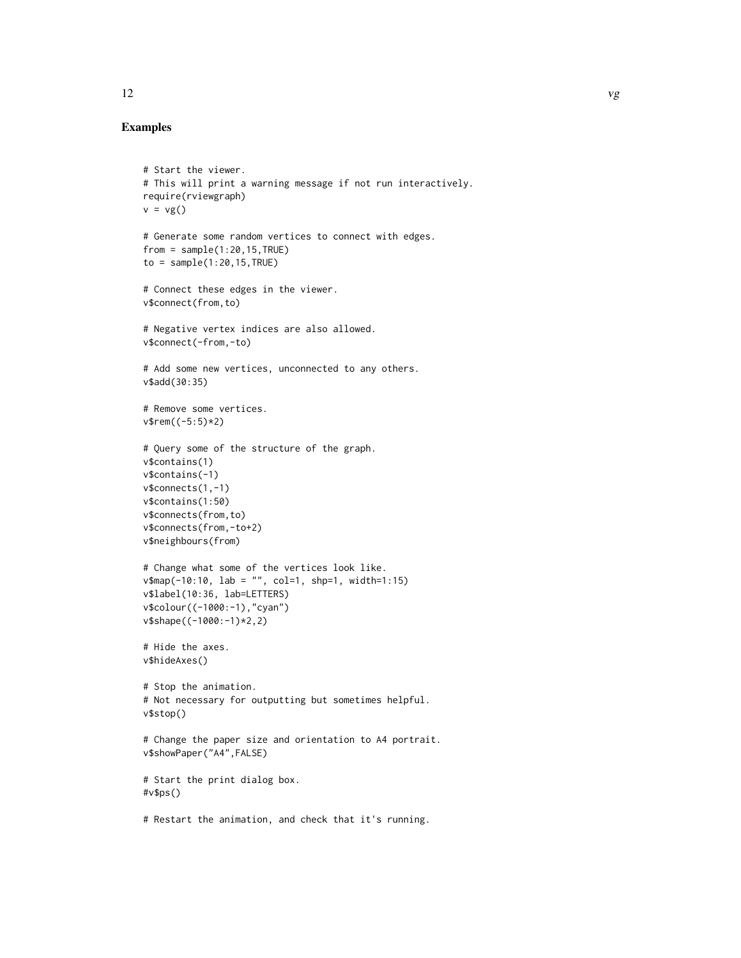#### Examples

```
# Start the viewer.
# This will print a warning message if not run interactively.
require(rviewgraph)
v = vg()# Generate some random vertices to connect with edges.
from = sample(1:20, 15, TRUE)to = sample(1:20, 15, TRUE)# Connect these edges in the viewer.
v$connect(from,to)
# Negative vertex indices are also allowed.
v$connect(-from,-to)
# Add some new vertices, unconnected to any others.
v$add(30:35)
# Remove some vertices.
v$rem((-5:5)*2)
# Query some of the structure of the graph.
v$contains(1)
v$contains(-1)
v$connects(1,-1)
v$contains(1:50)
v$connects(from,to)
v$connects(from,-to+2)
v$neighbours(from)
# Change what some of the vertices look like.
v$map(-10:10, lab = "", col=1, shp=1, width=1:15)
v$label(10:36, lab=LETTERS)
v$colour((-1000:-1),"cyan")
v$shape((-1000:-1)*2,2)
# Hide the axes.
v$hideAxes()
# Stop the animation.
# Not necessary for outputting but sometimes helpful.
v$stop()
# Change the paper size and orientation to A4 portrait.
v$showPaper("A4",FALSE)
# Start the print dialog box.
#v$ps()
# Restart the animation, and check that it's running.
```
12 vg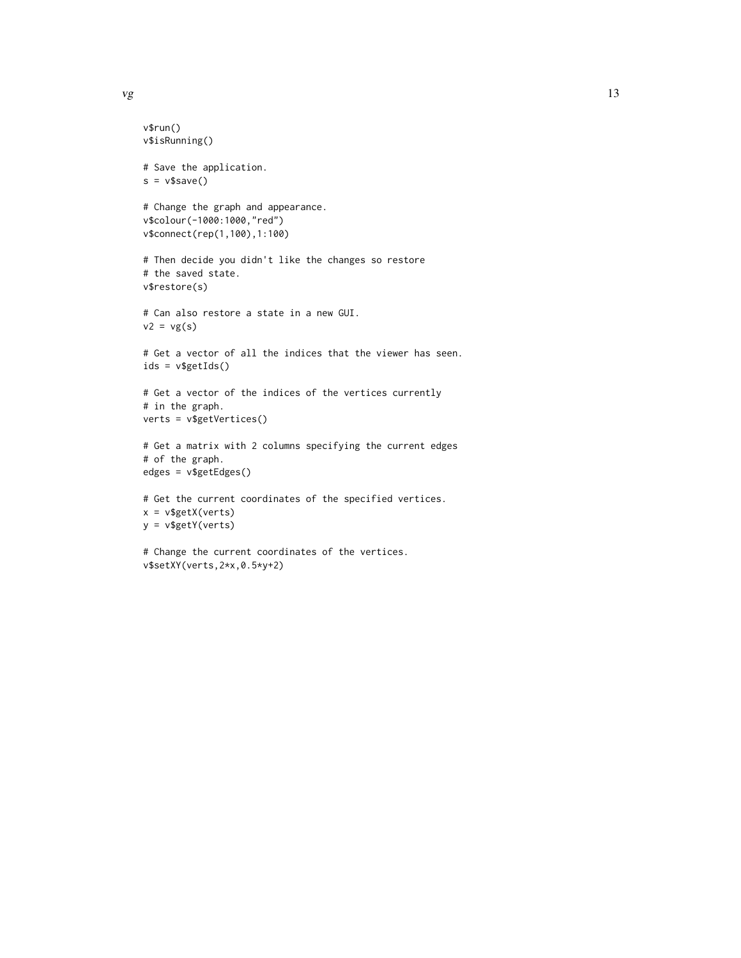```
v$run()
v$isRunning()
# Save the application.
s = v$save()
# Change the graph and appearance.
v$colour(-1000:1000,"red")
v$connect(rep(1,100),1:100)
# Then decide you didn't like the changes so restore
# the saved state.
v$restore(s)
# Can also restore a state in a new GUI.
v2 = vg(s)# Get a vector of all the indices that the viewer has seen.
ids = v$getIds()
# Get a vector of the indices of the vertices currently
# in the graph.
verts = v$getVertices()
# Get a matrix with 2 columns specifying the current edges
# of the graph.
edges = v$getEdges()
# Get the current coordinates of the specified vertices.
x = v$getX(verts)
y = v$getY(verts)
# Change the current coordinates of the vertices.
```
v\$setXY(verts,2\*x,0.5\*y+2)